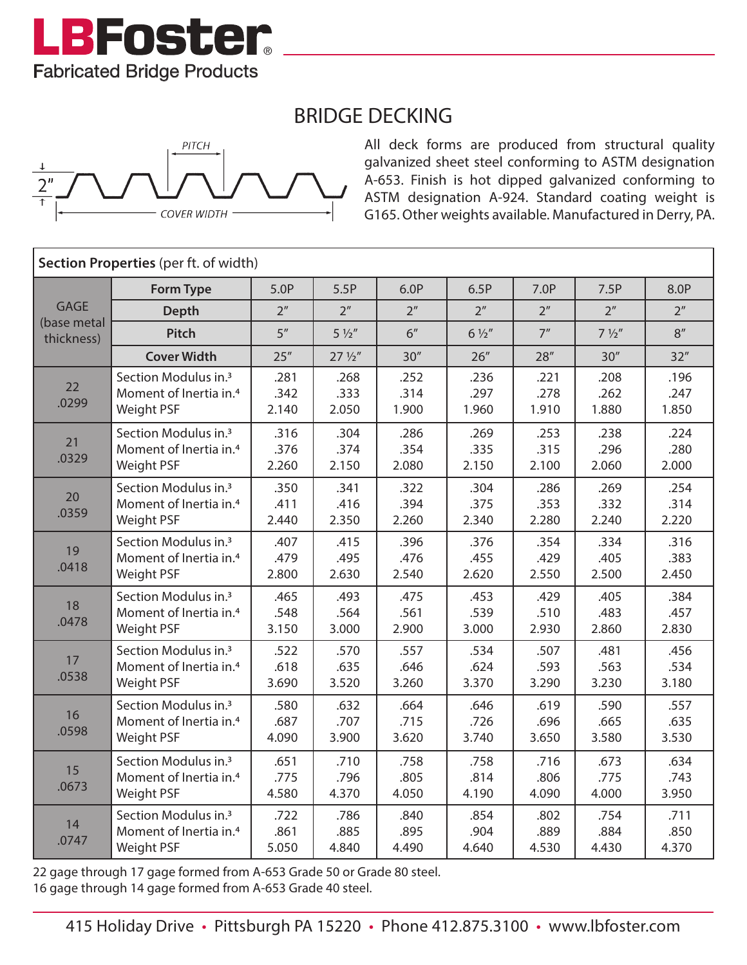

## BRIDGE DECKING



All deck forms are produced from structural quality galvanized sheet steel conforming to ASTM designation A-653. Finish is hot dipped galvanized conforming to ASTM designation A-924. Standard coating weight is G165. Other weights available. Manufactured in Derry, PA.

| Section Properties (per ft. of width)    |                                                                                      |                       |                       |                       |                       |                       |                       |                       |  |  |  |
|------------------------------------------|--------------------------------------------------------------------------------------|-----------------------|-----------------------|-----------------------|-----------------------|-----------------------|-----------------------|-----------------------|--|--|--|
| <b>GAGE</b><br>(base metal<br>thickness) | <b>Form Type</b>                                                                     | 5.0P                  | 5.5P                  | 6.0P                  | 6.5P                  | 7.0P                  | 7.5P                  | 8.0P                  |  |  |  |
|                                          | <b>Depth</b>                                                                         | 2 <sup>n</sup>        | 2 <sup>n</sup>        | 2 <sup>n</sup>        | 2 <sup>n</sup>        | 2 <sup>n</sup>        | 2 <sup>n</sup>        | 2 <sup>n</sup>        |  |  |  |
|                                          | Pitch                                                                                | 5''                   | $5\frac{1}{2}$        | 6 <sup>''</sup>       | $6\frac{1}{2}$        | 7 <sup>n</sup>        | $7\frac{1}{2}$        | 8''                   |  |  |  |
|                                          | <b>Cover Width</b>                                                                   | 25''                  | $27\frac{1}{2}$       | 30''                  | 26''                  | 28''                  | 30''                  | 32"                   |  |  |  |
| 22<br>.0299                              | Section Modulus in. <sup>3</sup><br>Moment of Inertia in. <sup>4</sup><br>Weight PSF | .281<br>.342<br>2.140 | .268<br>.333<br>2.050 | .252<br>.314<br>1.900 | .236<br>.297<br>1.960 | .221<br>.278<br>1.910 | .208<br>.262<br>1.880 | .196<br>.247<br>1.850 |  |  |  |
| 21<br>.0329                              | Section Modulus in. <sup>3</sup><br>Moment of Inertia in. <sup>4</sup><br>Weight PSF | .316<br>.376<br>2.260 | .304<br>.374<br>2.150 | .286<br>.354<br>2.080 | .269<br>.335<br>2.150 | .253<br>.315<br>2.100 | .238<br>.296<br>2.060 | .224<br>.280<br>2.000 |  |  |  |
| 20<br>.0359                              | Section Modulus in. <sup>3</sup><br>Moment of Inertia in. <sup>4</sup><br>Weight PSF | .350<br>.411<br>2.440 | .341<br>.416<br>2.350 | .322<br>.394<br>2.260 | .304<br>.375<br>2.340 | .286<br>.353<br>2.280 | .269<br>.332<br>2.240 | .254<br>.314<br>2.220 |  |  |  |
| 19<br>.0418                              | Section Modulus in. <sup>3</sup><br>Moment of Inertia in. <sup>4</sup><br>Weight PSF | .407<br>.479<br>2.800 | .415<br>.495<br>2.630 | .396<br>.476<br>2.540 | .376<br>.455<br>2.620 | .354<br>.429<br>2.550 | .334<br>.405<br>2.500 | .316<br>.383<br>2.450 |  |  |  |
| 18<br>.0478                              | Section Modulus in. <sup>3</sup><br>Moment of Inertia in. <sup>4</sup><br>Weight PSF | .465<br>.548<br>3.150 | .493<br>.564<br>3.000 | .475<br>.561<br>2.900 | .453<br>.539<br>3.000 | .429<br>.510<br>2.930 | .405<br>.483<br>2.860 | .384<br>.457<br>2.830 |  |  |  |
| 17<br>.0538                              | Section Modulus in. <sup>3</sup><br>Moment of Inertia in. <sup>4</sup><br>Weight PSF | .522<br>.618<br>3.690 | .570<br>.635<br>3.520 | .557<br>.646<br>3.260 | .534<br>.624<br>3.370 | .507<br>.593<br>3.290 | .481<br>.563<br>3.230 | .456<br>.534<br>3.180 |  |  |  |
| 16<br>.0598                              | Section Modulus in. <sup>3</sup><br>Moment of Inertia in. <sup>4</sup><br>Weight PSF | .580<br>.687<br>4.090 | .632<br>.707<br>3.900 | .664<br>.715<br>3.620 | .646<br>.726<br>3.740 | .619<br>.696<br>3.650 | .590<br>.665<br>3.580 | .557<br>.635<br>3.530 |  |  |  |
| 15<br>.0673                              | Section Modulus in. <sup>3</sup><br>Moment of Inertia in. <sup>4</sup><br>Weight PSF | .651<br>.775<br>4.580 | .710<br>.796<br>4.370 | .758<br>.805<br>4.050 | .758<br>.814<br>4.190 | .716<br>.806<br>4.090 | .673<br>.775<br>4.000 | .634<br>.743<br>3.950 |  |  |  |
| 14<br>.0747                              | Section Modulus in. <sup>3</sup><br>Moment of Inertia in. <sup>4</sup><br>Weight PSF | .722<br>.861<br>5.050 | .786<br>.885<br>4.840 | .840<br>.895<br>4.490 | .854<br>.904<br>4.640 | .802<br>.889<br>4.530 | .754<br>.884<br>4.430 | .711<br>.850<br>4.370 |  |  |  |

22 gage through 17 gage formed from A-653 Grade 50 or Grade 80 steel. 16 gage through 14 gage formed from A-653 Grade 40 steel.